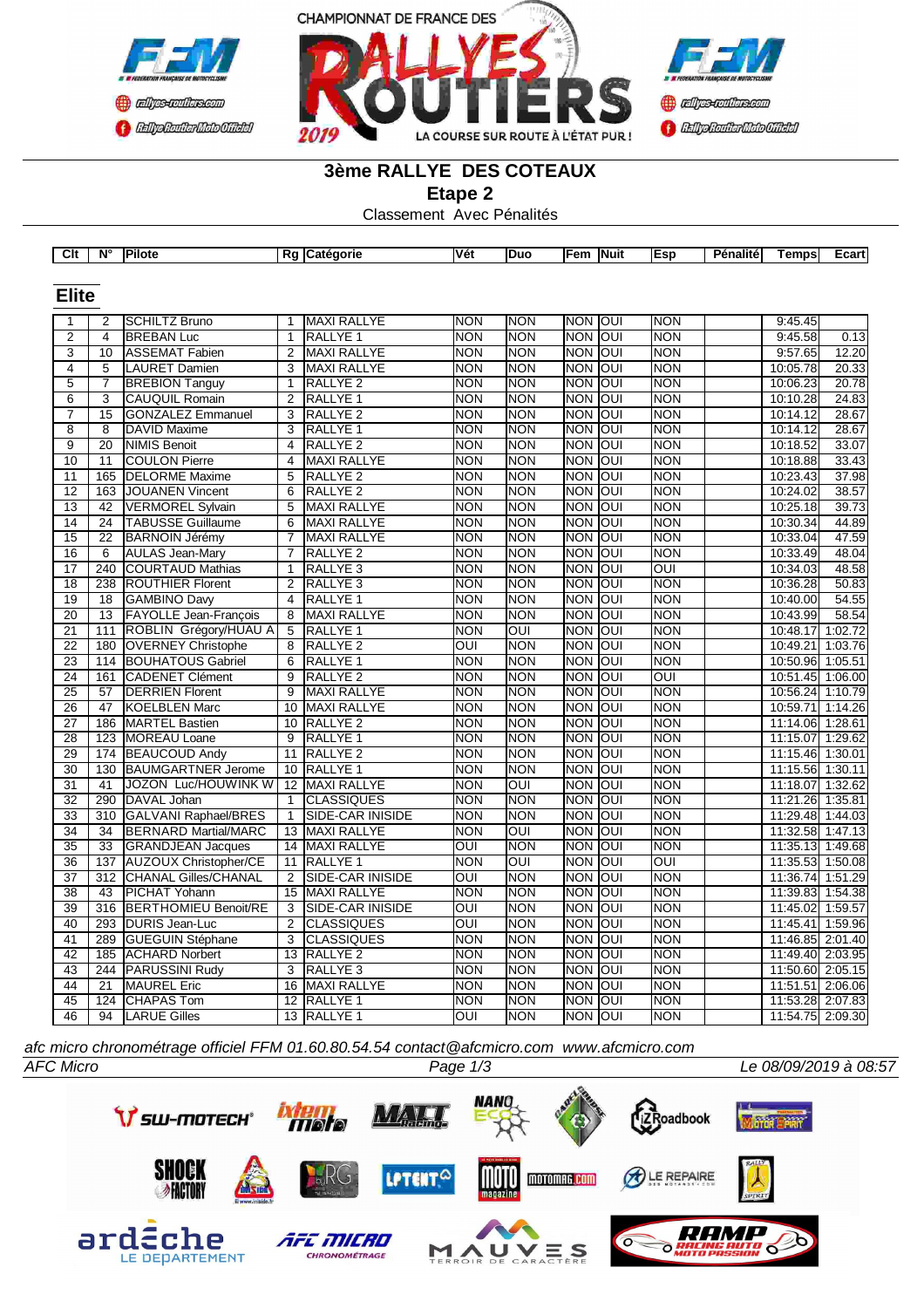



### **3ème RALLYE DES COTEAUX**

**Etape 2**

Classement Avec Pénalités

|                 |                 | $Clt \mid N^{\circ}$   Pilote |                 | Rg Catégorie            | Vét            | Duo        | Fem  Nuit      |                   | Esp              | <b>Pénalité</b> | <b>Temps</b>     | Ecart   |
|-----------------|-----------------|-------------------------------|-----------------|-------------------------|----------------|------------|----------------|-------------------|------------------|-----------------|------------------|---------|
|                 |                 |                               |                 |                         |                |            |                |                   |                  |                 |                  |         |
| <b>Elite</b>    |                 |                               |                 |                         |                |            |                |                   |                  |                 |                  |         |
|                 |                 |                               |                 |                         |                |            |                |                   |                  |                 |                  |         |
| 1               | 2               | SCHILTZ Bruno                 | 1               | <b>MAXI RALLYE</b>      | <b>NON</b>     | <b>NON</b> | <b>NON</b>     | Toui              | <b>NON</b>       |                 | 9:45.45          |         |
| $\overline{2}$  | $\overline{4}$  | <b>BREBAN Luc</b>             | $\overline{1}$  | <b>RALLYE 1</b>         | <b>NON</b>     | <b>NON</b> | <b>NON</b>     | ाि                | <b>NON</b>       |                 | 9:45.58          | 0.13    |
| 3               | 10              | ASSEMAT Fabien                | 2               | <b>MAXI RALLYE</b>      | <b>NON</b>     | <b>NON</b> | <b>NON</b>     | $\overline{$ loui | <b>NON</b>       |                 | 9:57.65          | 12.20   |
| 4               | 5               | <b>LAURET Damien</b>          | 3               | <b>MAXI RALLYE</b>      | <b>NON</b>     | <b>NON</b> | <b>NON</b>     | loui              | <b>NON</b>       |                 | 10:05.78         | 20.33   |
| $\overline{5}$  | $\overline{7}$  | <b>BREBION Tanguy</b>         | $\mathbf{1}$    | <b>RALLYE 2</b>         | <b>NON</b>     | <b>NON</b> | <b>NON</b>     | loui              | <b>NON</b>       |                 | 10:06.23         | 20.78   |
| 6               | 3               | <b>CAUQUIL Romain</b>         | 2               | RALLYE <sub>1</sub>     | <b>NON</b>     | <b>NON</b> | <b>NON</b>     | loui              | <b>NON</b>       |                 | 10:10.28         | 24.83   |
| $\overline{7}$  | $\overline{15}$ | <b>GONZALEZ Emmanuel</b>      | 3               | <b>RALLYE 2</b>         | <b>NON</b>     | <b>NON</b> | <b>NON</b>     | loui              | <b>NON</b>       |                 | 10:14.12         | 28.67   |
| $\overline{8}$  | $\overline{8}$  | <b>DAVID Maxime</b>           | 3               | <b>RALLYE 1</b>         | <b>NON</b>     | <b>NON</b> | <b>NON</b>     | loui              | <b>NON</b>       |                 | 10:14.12         | 28.67   |
| $\overline{9}$  | 20              | <b>NIMIS Benoit</b>           | 4               | RALLYE <sub>2</sub>     | <b>NON</b>     | <b>NON</b> | <b>NON</b>     | loui              | <b>NON</b>       |                 | 10:18.52         | 33.07   |
| 10              | 11              | <b>COULON Pierre</b>          | 4               | <b>MAXI RALLYE</b>      | <b>NON</b>     | <b>NON</b> | <b>NON</b>     | loui              | <b>NON</b>       |                 | 10:18.88         | 33.43   |
| 11              | 165             | <b>DELORME</b> Maxime         | 5               | RALLYE <sub>2</sub>     | <b>NON</b>     | <b>NON</b> | <b>NON</b>     | loui              | <b>NON</b>       |                 | 10:23.43         | 37.98   |
| $\overline{12}$ | 163             | <b>JOUANEN Vincent</b>        | 6               | <b>RALLYE 2</b>         | <b>NON</b>     | <b>NON</b> | <b>NON</b>     | loui              | <b>NON</b>       |                 | 10:24.02         | 38.57   |
| $\overline{13}$ | 42              | <b>VERMOREL Sylvain</b>       | 5               | <b>MAXI RALLYE</b>      | <b>NON</b>     | <b>NON</b> | <b>NON</b>     | loui              | <b>NON</b>       |                 | 10:25.18         | 39.73   |
| 14              | 24              | <b>TABUSSE Guillaume</b>      | 6               | MAXI RALLYE             | <b>NON</b>     | <b>NON</b> | <b>NON</b>     | loui              | <b>NON</b>       |                 | 10:30.34         | 44.89   |
| 15              | $\overline{22}$ | <b>BARNOIN Jérémy</b>         | $\overline{7}$  | MAXI RALLYE             | <b>NON</b>     | <b>NON</b> | <b>NON</b>     | loui              | <b>NON</b>       |                 | 10:33.04         | 47.59   |
| 16              | 6               | <b>AULAS Jean-Mary</b>        | $\overline{7}$  | RALLYE <sub>2</sub>     | <b>NON</b>     | <b>NON</b> | <b>NON</b>     | loui              | <b>NON</b>       |                 | 10:33.49         | 48.04   |
| 17              | 240             | <b>COURTAUD Mathias</b>       | $\mathbf{1}$    | <b>RALLYE3</b>          | <b>NON</b>     | <b>NON</b> | <b>NON</b>     | loui              | $\overline{OUI}$ |                 | 10:34.03         | 48.58   |
| $\overline{18}$ | 238             | <b>ROUTHIER Florent</b>       | $\overline{2}$  | <b>RALLYE 3</b>         | <b>NON</b>     | <b>NON</b> | <b>NON</b>     | loui              | <b>NON</b>       |                 | 10:36.28         | 50.83   |
| 19              | 18              | GAMBINO Davy                  | 4               | <b>RALLYE 1</b>         | <b>NON</b>     | <b>NON</b> | <b>NON</b>     | loui              | <b>NON</b>       |                 | 10:40.00         | 54.55   |
| 20              | $\overline{13}$ | <b>FAYOLLE Jean-Francois</b>  | $\overline{8}$  | <b>MAXI RALLYE</b>      | <b>NON</b>     | <b>NON</b> | <b>NON</b>     | loui              | <b>NON</b>       |                 | 10:43.99         | 58.54   |
| 21              | 111             | ROBLIN Grégory/HUAU A         | 5               | RALLYE 1                | <b>NON</b>     | OUI        | <b>NON</b>     | loui              | <b>NON</b>       |                 | 10:48.17         | 1:02.72 |
| 22              | 180             | <b>OVERNEY Christophe</b>     | 8               | <b>RALLYE 2</b>         | OUI            | <b>NON</b> | <b>NON</b>     | loui              | <b>NON</b>       |                 | 10:49.21 1:03.76 |         |
| 23              |                 | 114 BOUHATOUS Gabriel         | 6               | RALLYE <sub>1</sub>     | <b>NON</b>     | <b>NON</b> | <b>NON</b>     | loui              | <b>NON</b>       |                 | 10:50.96 1:05.51 |         |
| 24              | 161             | CADENET Clément               | 9               | RALLYE <sub>2</sub>     | <b>NON</b>     | <b>NON</b> | <b>NON</b>     | loui              | OUI              |                 | 10:51.45 1:06.00 |         |
| $\overline{25}$ | 57              | <b>DERRIEN Florent</b>        | 9               | <b>MAXI RALLYE</b>      | <b>NON</b>     | <b>NON</b> | <b>NON</b>     | loui              | <b>NON</b>       |                 | 10:56.24 1:10.79 |         |
| 26              | 47              | KOELBLEN Marc                 | 10 <sup>°</sup> | MAXI RALLYE             | <b>NON</b>     | <b>NON</b> | <b>NON</b>     | loui              | <b>NON</b>       |                 | 10:59.71 1:14.26 |         |
| 27              | 186             | MARTEL Bastien                | 10              | RALLYE <sub>2</sub>     | <b>NON</b>     | <b>NON</b> | <b>NON</b>     | loui              | <b>NON</b>       |                 | 11:14.06         | 1:28.61 |
| 28              | 123             | <b>MOREAU Loane</b>           | $\overline{9}$  | <b>RALLYE 1</b>         | <b>NON</b>     | <b>NON</b> | <b>NON</b>     | loui              | <b>NON</b>       |                 | 11:15.07         | 1:29.62 |
| 29              | 174             | <b>BEAUCOUD Andy</b>          | 11              | <b>RALLYE 2</b>         | <b>NON</b>     | <b>NON</b> | <b>NON</b>     | loui              | <b>NON</b>       |                 | 11:15.46 1:30.01 |         |
| 30              | 130             | <b>BAUMGARTNER Jerome</b>     | 10 <sup>1</sup> | <b>RALLYE 1</b>         | <b>NON</b>     | <b>NON</b> | <b>NON</b>     | loui              | <b>NON</b>       |                 | 11:15.56 1:30.11 |         |
| 31              | 41              | JOZON Luc/HOUWINK W           | $\overline{12}$ | <b>MAXI RALLYE</b>      | <b>NON</b>     | OUI        | <b>NON</b>     | lon               | <b>NON</b>       |                 | 11:18.07         | 1:32.62 |
| 32              | 290             | DAVAL Johan                   | $\mathbf{1}$    | <b>CLASSIQUES</b>       | <b>NON</b>     | <b>NON</b> | <b>NON</b>     | loui              | <b>NON</b>       |                 | 11:21.26         | 1:35.81 |
| $\overline{33}$ | 310             | GALVANI Raphael/BRES          | $\mathbf{1}$    | <b>SIDE-CAR INISIDE</b> | <b>NON</b>     | <b>NON</b> | <b>NON</b>     | loui              | <b>NON</b>       |                 | 11:29.48 1:44.03 |         |
| 34              | 34              | <b>BERNARD Martial/MARC</b>   | 13              | MAXI RALLYE             | <b>NON</b>     | OUI        | <b>NON</b>     | loui              | <b>NON</b>       |                 | 11:32.58 1:47.13 |         |
| $\overline{35}$ | $\overline{33}$ | <b>GRANDJEAN Jacques</b>      | $\overline{14}$ | MAXI RALLYE             | $\overline{O}$ | <b>NON</b> | <b>NON</b>     | JO                | <b>NON</b>       |                 | 11:35.13 1:49.68 |         |
| 36              | 137             | <b>AUZOUX Christopher/CE</b>  | 11              | RALLYE <sub>1</sub>     | <b>NON</b>     | OUI        | <b>NON</b>     | loui              | OUI              |                 | 11:35.53 1:50.08 |         |
| 37              | 312             | CHANAL Gilles/CHANAL          | $\overline{2}$  | SIDE-CAR INISIDE        | OUI            | <b>NON</b> | <b>NON</b>     | <b>OUI</b>        | <b>NON</b>       |                 | 11:36.74 1:51.29 |         |
| $\overline{38}$ | 43              | <b>PICHAT Yohann</b>          | 15              | <b>MAXI RALLYE</b>      | <b>NON</b>     | <b>NON</b> | <b>NON</b>     | loui              | <b>NON</b>       |                 | 11:39.83 1:54.38 |         |
| 39              | 316             | <b>BERTHOMIEU Benoit/RE</b>   | 3               | SIDE-CAR INISIDE        | OUI            | <b>NON</b> | <b>NON</b>     | loui              | <b>NON</b>       |                 | 11:45.02 1:59.57 |         |
| 40              | 293             | <b>DURIS Jean-Luc</b>         | 2               | <b>CLASSIQUES</b>       | OUI            | <b>NON</b> | <b>NON</b>     | loui              | <b>NON</b>       |                 | 11:45.41         | 1:59.96 |
| 41              | 289             | <b>GUEGUIN Stéphane</b>       | 3               | <b>CLASSIQUES</b>       | <b>NON</b>     | <b>NON</b> | <b>NON</b>     | loui              | <b>NON</b>       |                 | 11:46.85 2:01.40 |         |
| 42              | 185             | <b>ACHARD Norbert</b>         |                 | 13 RALLYE 2             | <b>NON</b>     | <b>NON</b> | <b>NON</b>     | loui              | <b>NON</b>       |                 | 11:49.40 2:03.95 |         |
| 43              | 244             | PARUSSINI Rudy                | 3               | RALLYE <sub>3</sub>     | <b>NON</b>     | <b>NON</b> | <b>NON</b>     | loui              | <b>NON</b>       |                 | 11:50.60 2:05.15 |         |
| 44              | 21              | <b>MAUREL Eric</b>            | 16              | MAXI RALLYE             | <b>NON</b>     | <b>NON</b> | <b>NON</b>     | loui              | <b>NON</b>       |                 | 11:51.51 2:06.06 |         |
| 45              | 124             | <b>CHAPAS Tom</b>             | 12              | <b>RALLYE 1</b>         | <b>NON</b>     | <b>NON</b> | <b>NON</b>     | loui              | <b>NON</b>       |                 | 11:53.28 2:07.83 |         |
| 46              | 94              | <b>LARUE Gilles</b>           |                 | 13 RALLYE 1             | OUI            | <b>NON</b> | <b>NON OUI</b> |                   | <b>NON</b>       |                 | 11:54.75 2:09.30 |         |

*afc micro chronométrage officiel FFM 01.60.80.54.54 contact@afcmicro.com www.afcmicro.com*



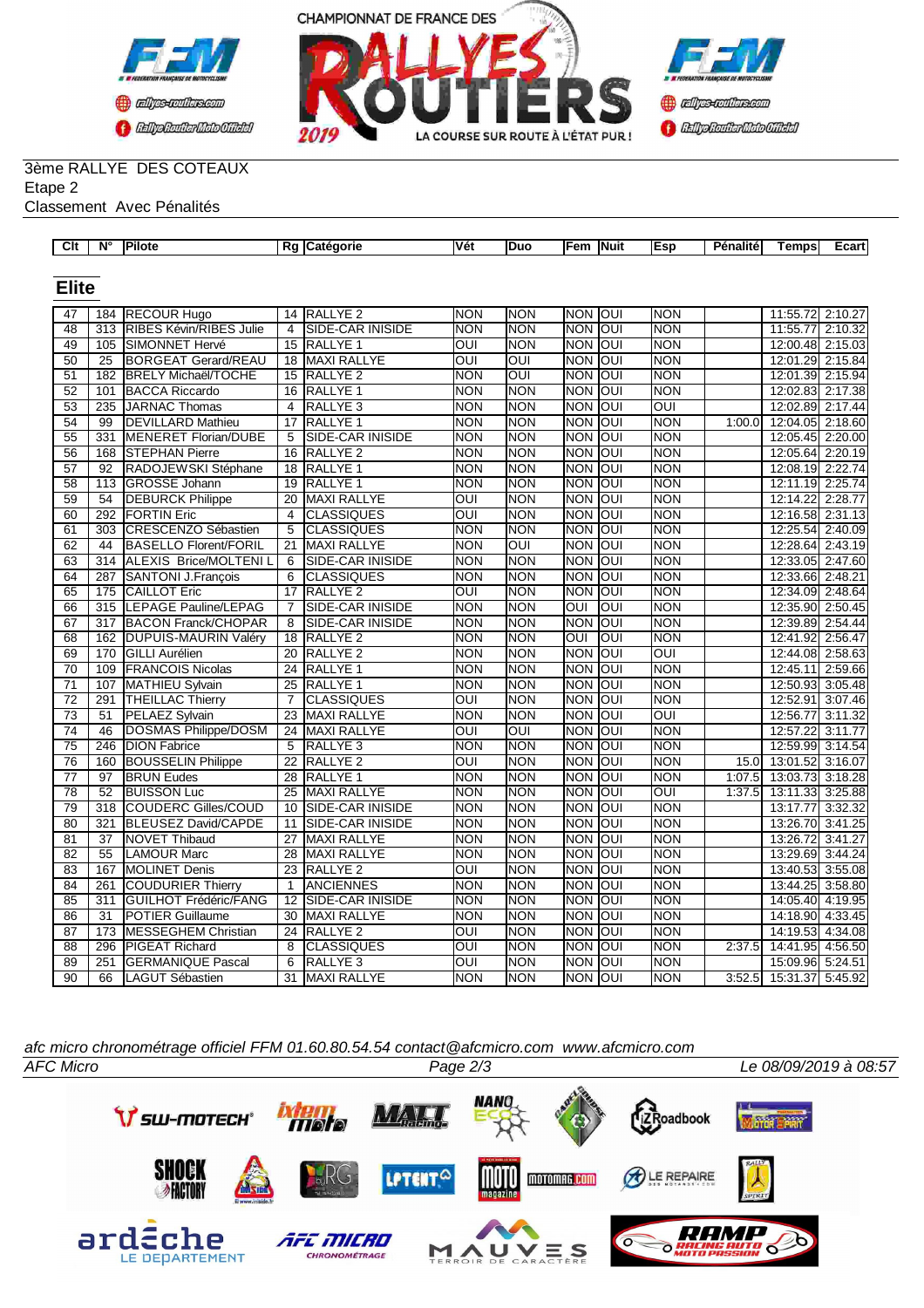



## 3ème RALLYE DES COTEAUX Etape 2

Classement Avec Pénalités

| $\overline{C}$ It | $\overline{\mathsf{N}^{\circ}}$ | Pilote                                        |                 | Rg Catégorie                    | Vét                      | Duo                      | Fem                  | Nuit | Esp                      | Pénalité | Temps                        | Ecart              |
|-------------------|---------------------------------|-----------------------------------------------|-----------------|---------------------------------|--------------------------|--------------------------|----------------------|------|--------------------------|----------|------------------------------|--------------------|
|                   |                                 |                                               |                 |                                 |                          |                          |                      |      |                          |          |                              |                    |
| <b>Elite</b>      |                                 |                                               |                 |                                 |                          |                          |                      |      |                          |          |                              |                    |
|                   |                                 |                                               |                 |                                 |                          |                          |                      |      |                          |          |                              |                    |
| 47<br>48          | 184                             | <b>RECOUR Hugo</b><br>RIBES Kévin/RIBES Julie | 4               | 14 RALLYE 2<br>SIDE-CAR INISIDE | <b>NON</b><br><b>NON</b> | <b>NON</b><br><b>NON</b> | NON OUI              |      | <b>NON</b><br><b>NON</b> |          | 11:55.72<br>11:55.77         | 2:10.27            |
| 49                | 313<br>105                      |                                               | 15              | RALLYE <sub>1</sub>             | $\overline{O}$           | <b>NON</b>               | Inon Ioui            |      | <b>NON</b>               |          |                              | 2:10.32<br>2:15.03 |
| $\overline{50}$   | $\overline{25}$                 | SIMONNET Hervé<br><b>BORGEAT Gerard/REAU</b>  | $\overline{18}$ | <b>MAXI RALLYE</b>              | $\overline{O}$           | OUI                      | NON JOUI<br>NON JOUI |      | <b>NON</b>               |          | 12:00.48<br>12:01.29 2:15.84 |                    |
| $\overline{51}$   | 182                             | <b>BRELY Michaël/TOCHE</b>                    | 15              | <b>RALLYE 2</b>                 | <b>NON</b>               | OUI                      | NON JOUI             |      | <b>NON</b>               |          | 12:01.39 2:15.94             |                    |
| 52                | 101                             | <b>BACCA Riccardo</b>                         | 16              | RALLYE <sub>1</sub>             | <b>NON</b>               | <b>NON</b>               | <b>NON</b>           | loui | <b>NON</b>               |          | 12:02.83 2:17.38             |                    |
| 53                | 235                             | <b>JARNAC Thomas</b>                          | $\overline{4}$  | RALLYE <sub>3</sub>             | <b>NON</b>               | <b>NON</b>               | NON JOUI             |      | OUI                      |          | 12:02.89 2:17.44             |                    |
| 54                | 99                              | <b>DEVILLARD Mathieu</b>                      | 17              | RALLYE <sub>1</sub>             | <b>NON</b>               | <b>NON</b>               | <b>NON</b>           | loui | <b>NON</b>               | 1:00.0   | 12:04.05                     | 2:18.60            |
| 55                | 331                             | MENERET Florian/DUBE                          | 5               | SIDE-CAR INISIDE                | <b>NON</b>               | <b>NON</b>               | <b>NON</b>           | loui | <b>NON</b>               |          | 12:05.45 2:20.00             |                    |
| 56                | 168                             | <b>STEPHAN Pierre</b>                         | 16              | RALLYE <sub>2</sub>             | <b>NON</b>               | <b>NON</b>               | <b>NON</b>           | loui | <b>NON</b>               |          | 12:05.64                     | 2:20.19            |
| 57                | 92                              | RADOJEWSKI Stéphane                           | 18              | RALLYE <sub>1</sub>             | <b>NON</b>               | <b>NON</b>               | <b>NON</b>           | loui | <b>NON</b>               |          | 12:08.19                     | 2:22.74            |
| 58                | 113                             | <b>GROSSE Johann</b>                          | 19              | RALLYE 1                        | <b>NON</b>               | <b>NON</b>               | <b>NON</b>           | loui | <b>NON</b>               |          | 12:11.19                     | 2:25.74            |
| 59                | 54                              | <b>DEBURCK Philippe</b>                       | 20              | <b>MAXI RALLYE</b>              | OUI                      | <b>NON</b>               | NON JOUI             |      | <b>NON</b>               |          | 12:14.22                     | 2:28.77            |
| 60                | 292                             | <b>FORTIN Eric</b>                            | $\overline{4}$  | <b>CLASSIQUES</b>               | $\overline{\text{OUI}}$  | <b>NON</b>               | NON OUI              |      | <b>NON</b>               |          | 12:16.58                     | 2:31.13            |
| $\overline{61}$   | 303                             | <b>CRESCENZO Sébastien</b>                    | $\overline{5}$  | <b>CLASSIQUES</b>               | <b>NON</b>               | <b>NON</b>               | <b>NON OUI</b>       |      | <b>NON</b>               |          | 12:25.54                     | 2:40.09            |
| 62                | 44                              | <b>BASELLO Florent/FORIL</b>                  | 21              | <b>MAXI RALLYE</b>              | <b>NON</b>               | $\overline{\text{OUI}}$  | <b>NON OUI</b>       |      | <b>NON</b>               |          | 12:28.64                     | 2:43.19            |
| $\overline{63}$   | $\overline{314}$                | <b>ALEXIS Brice/MOLTENIL</b>                  | 6               | SIDE-CAR INISIDE                | $\overline{NON}$         | <b>NON</b>               | <b>NON</b>           | loui | <b>NON</b>               |          | 12:33.05                     | 2:47.60            |
| 64                | 287                             | <b>SANTONI J.François</b>                     | 6               | <b>CLASSIQUES</b>               | <b>NON</b>               | <b>NON</b>               | NON OUI              |      | <b>NON</b>               |          | 12:33.66 2:48.21             |                    |
| 65                | 175                             | <b>CAILLOT Eric</b>                           | $\overline{17}$ | <b>RALLYE 2</b>                 | $\overline{\text{OUI}}$  | <b>NON</b>               | <b>NON</b>           | lon  | <b>NON</b>               |          | 12:34.09 2:48.64             |                    |
| 66                | 315                             | <b>LEPAGE Pauline/LEPAG</b>                   | 7               | SIDE-CAR INISIDE                | <b>NON</b>               | <b>NON</b>               | OUI                  | OUI  | <b>NON</b>               |          | 12:35.90                     | 2:50.45            |
| 67                | 317                             | <b>BACON Franck/CHOPAR</b>                    | $\overline{8}$  | SIDE-CAR INISIDE                | <b>NON</b>               | <b>NON</b>               | <b>NON</b>           | loui | <b>NON</b>               |          | 12:39.89 2:54.44             |                    |
| 68                | 162                             | DUPUIS-MAURIN Valéry                          | 18              | RALLYE <sub>2</sub>             | NON                      | <b>NON</b>               | OUI                  | loui | <b>NON</b>               |          | 12:41.92                     | 2:56.47            |
| 69                | 170                             | <b>GILLI Aurélien</b>                         | $\overline{20}$ | RALLYE <sub>2</sub>             | <b>NON</b>               | <b>NON</b>               | <b>NON</b>           | loui | $\overline{O}$ UI        |          | 12:44.08 2:58.63             |                    |
| 70                | 109                             | <b>FRANCOIS Nicolas</b>                       | 24              | RALLYE <sub>1</sub>             | <b>NON</b>               | <b>NON</b>               | <b>NON</b>           | loni | <b>NON</b>               |          | 12:45.11                     | 2:59.66            |
| $\overline{71}$   | 107                             | <b>MATHIEU Sylvain</b>                        | $\overline{25}$ | <b>RALLYE 1</b>                 | <b>NON</b>               | <b>NON</b>               | <b>NON</b>           | Toui | <b>NON</b>               |          | 12:50.93                     | 3:05.48            |
| $\overline{72}$   | 291                             | <b>THEILLAC Thierry</b>                       | $\overline{7}$  | <b>CLASSIQUES</b>               | OUI                      | <b>NON</b>               | <b>NON</b>           | loui | <b>NON</b>               |          | 12:52.91                     | 3:07.46            |
| $\overline{73}$   | 51                              | <b>PELAEZ Sylvain</b>                         | 23              | <b>MAXI RALLYE</b>              | <b>NON</b>               | <b>NON</b>               | <b>NON</b>           | loui | $\overline{\text{OUI}}$  |          | 12:56.77                     | 3:11.32            |
| 74                | 46                              | <b>DOSMAS Philippe/DOSM</b>                   | 24              | <b>MAXI RALLYE</b>              | OUI                      | OUI                      | NON JOUI             |      | <b>NON</b>               |          | 12:57.22                     | 3:11.77            |
| $\overline{75}$   | $\frac{246}{ }$                 | <b>DION Fabrice</b>                           | 5               | RALLYE <sub>3</sub>             | <b>NON</b>               | <b>NON</b>               | NON OUI              |      | <b>NON</b>               |          | 12:59.99                     | 3:14.54            |
| 76                | 160                             | <b>BOUSSELIN Philippe</b>                     | 22              | <b>RALLYE 2</b>                 | OUI                      | <b>NON</b>               | <b>NON OUI</b>       |      | <b>NON</b>               | 15.0     | 13:01.52                     | 3:16.07            |
| $\overline{77}$   | 97                              | <b>BRUN Eudes</b>                             | 28              | RALLYE 1                        | <b>NON</b>               | <b>NON</b>               | NON JOUI             |      | <b>NON</b>               | 1:07.5   | 13:03.73                     | 3:18.28            |
| 78                | 52                              | <b>BUISSON Luc</b>                            | 25              | <b>MAXI RALLYE</b>              | <b>NON</b>               | <b>NON</b>               | <b>NON</b>           | loui | $\overline{O}$           | 1:37.5   | 13:11.33                     | 3:25.88            |
| 79                | 318                             | <b>COUDERC Gilles/COUD</b>                    | 10              | <b>SIDE-CAR INISIDE</b>         | <b>NON</b>               | <b>NON</b>               | NON OUI              |      | <b>NON</b>               |          | 13:17.77                     | 3:32.32            |
| 80                | 321                             | <b>BLEUSEZ David/CAPDE</b>                    | 11              | <b>SIDE-CAR INISIDE</b>         | <b>NON</b>               | <b>NON</b>               | <b>NON OUI</b>       |      | <b>NON</b>               |          | 13:26.70                     | 3:41.25            |
| 81                | 37                              | <b>NOVET Thibaud</b>                          | 27              | <b>MAXI RALLYE</b>              | <b>NON</b>               | <b>NON</b>               | NON OUI              |      | <b>NON</b>               |          | 13:26.72                     | 3:41.27            |
| 82                | 55                              | <b>LAMOUR Marc</b>                            | 28              | MAXI RALLYE                     | <b>NON</b>               | <b>NON</b>               | <b>NON</b>           | loui | <b>NON</b>               |          | 13:29.69 3:44.24             |                    |
| 83                | 167                             | <b>MOLINET Denis</b>                          | 23              | RALLYE <sub>2</sub>             | OUI                      | <b>NON</b>               | NON OUI              |      | <b>NON</b>               |          | 13:40.53                     | 3:55.08            |
| 84                | 261                             | <b>COUDURIER Thierry</b>                      | $\mathbf{1}$    | <b>ANCIENNES</b>                | <b>NON</b>               | <b>NON</b>               | <b>NON</b>           | loui | <b>NON</b>               |          | 13:44.25                     | 3:58.80            |
| 85                | 311                             | <b>GUILHOT Frédéric/FANG</b>                  | 12              | SIDE-CAR INISIDE                | <b>NON</b>               | <b>NON</b>               | <b>NON</b>           | loui | <b>NON</b>               |          | 14:05.40                     | 4:19.95            |
| 86                | 31                              | <b>POTIER Guillaume</b>                       | 30              | <b>MAXI RALLYE</b>              | <b>NON</b>               | <b>NON</b>               | <b>NON</b>           | loui | <b>NON</b>               |          | 14:18.90                     | 4:33.45            |
| 87                | 173                             | <b>MESSEGHEM Christian</b>                    | 24              | <b>RALLYE 2</b>                 | OUI                      | <b>NON</b>               | <b>NON</b>           | Toui | <b>NON</b>               |          | 14:19.53                     | 4:34.08            |
| 88                | 296                             | <b>PIGEAT Richard</b>                         | 8               | <b>CLASSIQUES</b>               | $\overline{\text{OUI}}$  | <b>NON</b>               | <b>NON</b>           | JON  | <b>NON</b>               | 2:37.5   | 14:41.95                     | 4:56.50            |
| 89                | 251                             | <b>GERMANIQUE Pascal</b>                      | $\overline{6}$  | RALLYE <sub>3</sub>             | OUI                      | <b>NON</b>               | NON JOUI             |      | <b>NON</b>               |          | 15:09.96                     | 5:24.51            |
| $\overline{90}$   | 66                              | <b>LAGUT Sébastien</b>                        | $\overline{31}$ | <b>MAXI RALLYE</b>              | <b>NON</b>               | <b>NON</b>               | NON OUI              |      | <b>NON</b>               | 3:52.5   | 15:31.37                     | 5:45.92            |

*afc micro chronométrage officiel FFM 01.60.80.54.54 contact@afcmicro.com www.afcmicro.com*